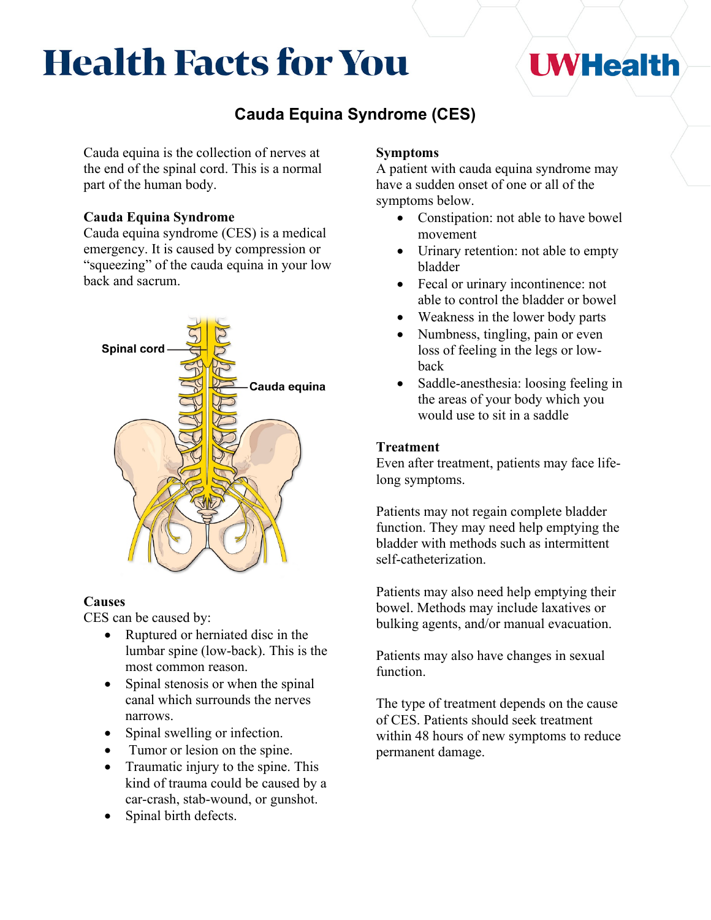# **Health Facts for You**

## **UWHealth**

### **Cauda Equina Syndrome (CES)**

Cauda equina is the collection of nerves at the end of the spinal cord. This is a normal part of the human body.

#### **Cauda Equina Syndrome**

Cauda equina syndrome (CES) is a medical emergency. It is caused by compression or "squeezing" of the cauda equina in your low back and sacrum.



#### **Causes**

CES can be caused by:

- Ruptured or herniated disc in the lumbar spine (low-back). This is the most common reason.
- Spinal stenosis or when the spinal canal which surrounds the nerves narrows.
- Spinal swelling or infection.
- Tumor or lesion on the spine.
- Traumatic injury to the spine. This kind of trauma could be caused by a car-crash, stab-wound, or gunshot.
- Spinal birth defects.

#### **Symptoms**

A patient with cauda equina syndrome may have a sudden onset of one or all of the symptoms below.

- Constipation: not able to have bowel movement
- Urinary retention: not able to empty bladder
- Fecal or urinary incontinence: not able to control the bladder or bowel
- Weakness in the lower body parts
- Numbness, tingling, pain or even loss of feeling in the legs or lowback
- Saddle-anesthesia: loosing feeling in the areas of your body which you would use to sit in a saddle

#### **Treatment**

Even after treatment, patients may face lifelong symptoms.

Patients may not regain complete bladder function. They may need help emptying the bladder with methods such as intermittent self-catheterization.

Patients may also need help emptying their bowel. Methods may include laxatives or bulking agents, and/or manual evacuation.

Patients may also have changes in sexual function.

The type of treatment depends on the cause of CES. Patients should seek treatment within 48 hours of new symptoms to reduce permanent damage.